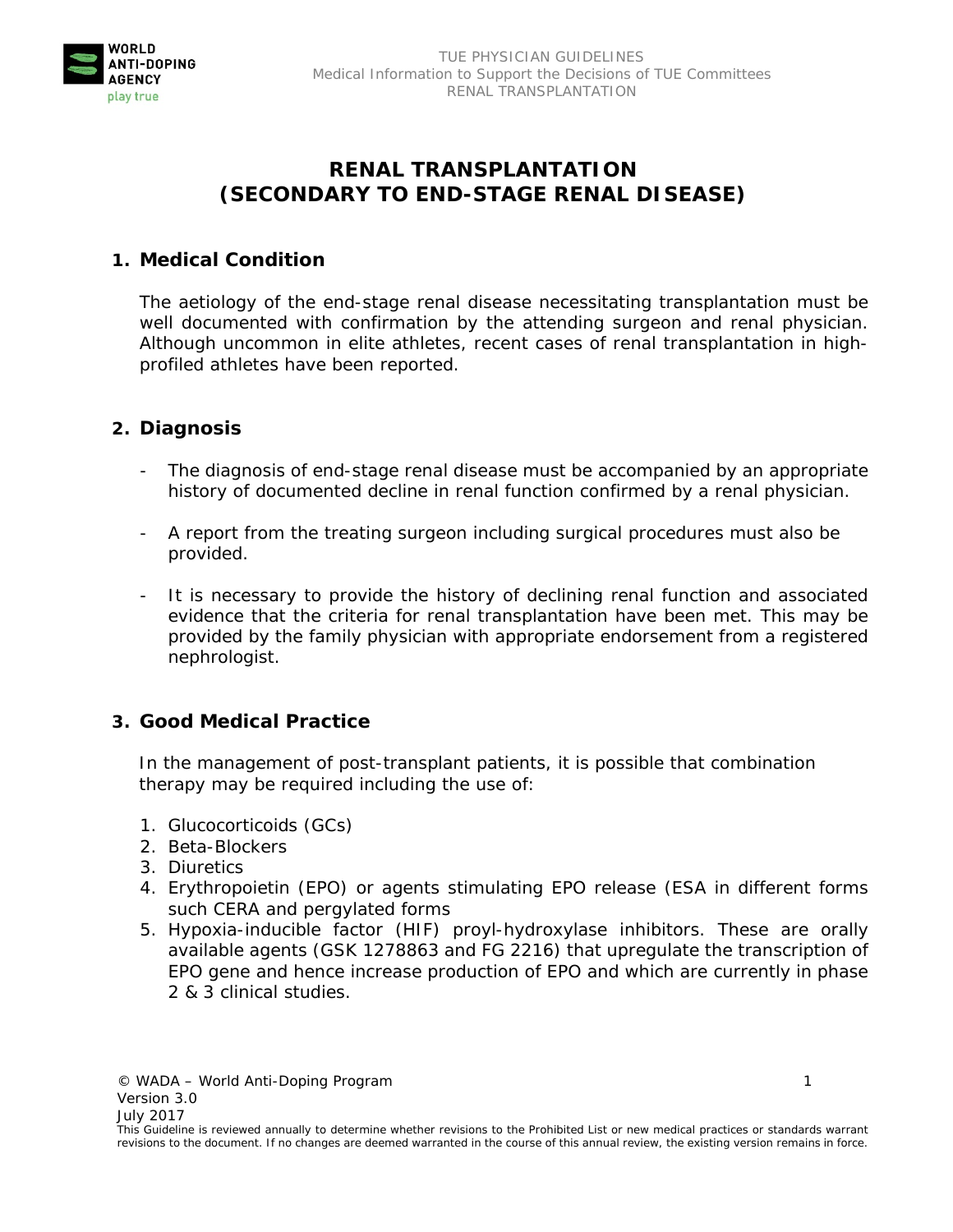

# **RENAL TRANSPLANTATION (SECONDARY TO END-STAGE RENAL DISEASE)**

#### **1. Medical Condition**

The aetiology of the end-stage renal disease necessitating transplantation must be well documented with confirmation by the attending surgeon and renal physician. Although uncommon in elite athletes, recent cases of renal transplantation in highprofiled athletes have been reported.

#### **2. Diagnosis**

- The diagnosis of end-stage renal disease must be accompanied by an appropriate history of documented decline in renal function confirmed by a renal physician.
- A report from the treating surgeon including surgical procedures must also be provided.
- It is necessary to provide the history of declining renal function and associated evidence that the criteria for renal transplantation have been met. This may be provided by the family physician with appropriate endorsement from a registered nephrologist.

#### **3. Good Medical Practice**

 In the management of post-transplant patients, it is possible that combination therapy may be required including the use of:

- 1. Glucocorticoids (GCs)
- 2. Beta-Blockers
- 3. Diuretics
- 4. Erythropoietin (EPO) or agents stimulating EPO release (ESA in different forms such CERA and pergylated forms
- 5. Hypoxia-inducible factor (HIF) proyl-hydroxylase inhibitors. These are orally available agents (GSK 1278863 and FG 2216) that upregulate the transcription of EPO gene and hence increase production of EPO and which are currently in phase 2 & 3 clinical studies.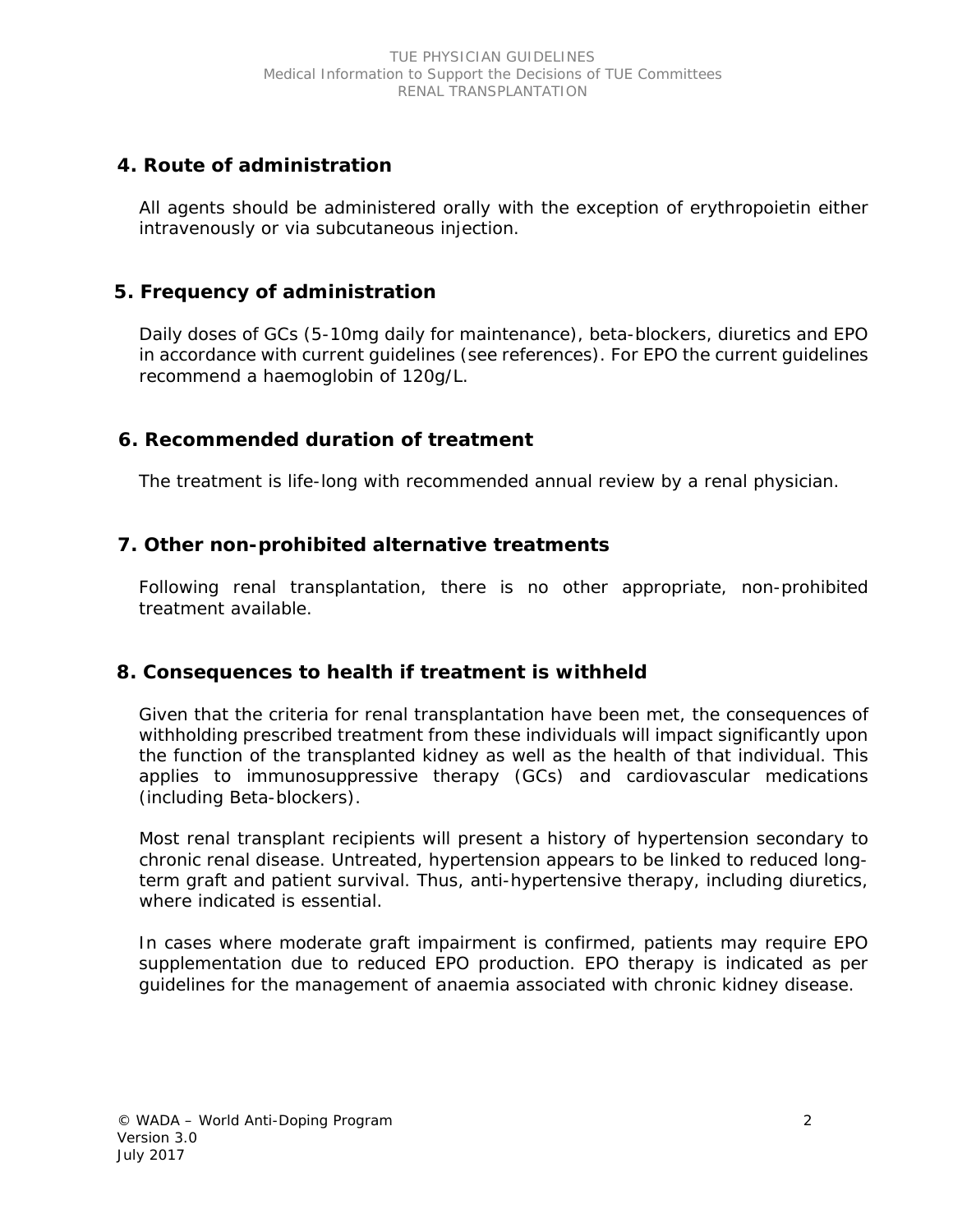# **4. Route of administration**

All agents should be administered orally with the exception of erythropoietin either intravenously or via subcutaneous injection.

# **5. Frequency of administration**

 Daily doses of GCs (5-10mg daily for maintenance), beta-blockers, diuretics and EPO in accordance with current guidelines (see references). For EPO the current guidelines recommend a haemoglobin of 120g/L.

## **6. Recommended duration of treatment**

The treatment is life-long with recommended annual review by a renal physician.

## **7. Other non-prohibited alternative treatments**

 Following renal transplantation, there is no other appropriate, non-prohibited treatment available.

### **8. Consequences to health if treatment is withheld**

 Given that the criteria for renal transplantation have been met, the consequences of withholding prescribed treatment from these individuals will impact significantly upon the function of the transplanted kidney as well as the health of that individual. This applies to immunosuppressive therapy (GCs) and cardiovascular medications (including Beta-blockers).

 Most renal transplant recipients will present a history of hypertension secondary to chronic renal disease. Untreated, hypertension appears to be linked to reduced longterm graft and patient survival. Thus, anti-hypertensive therapy, including diuretics, where indicated is essential.

 In cases where moderate graft impairment is confirmed, patients may require EPO supplementation due to reduced EPO production. EPO therapy is indicated as per guidelines for the management of anaemia associated with chronic kidney disease.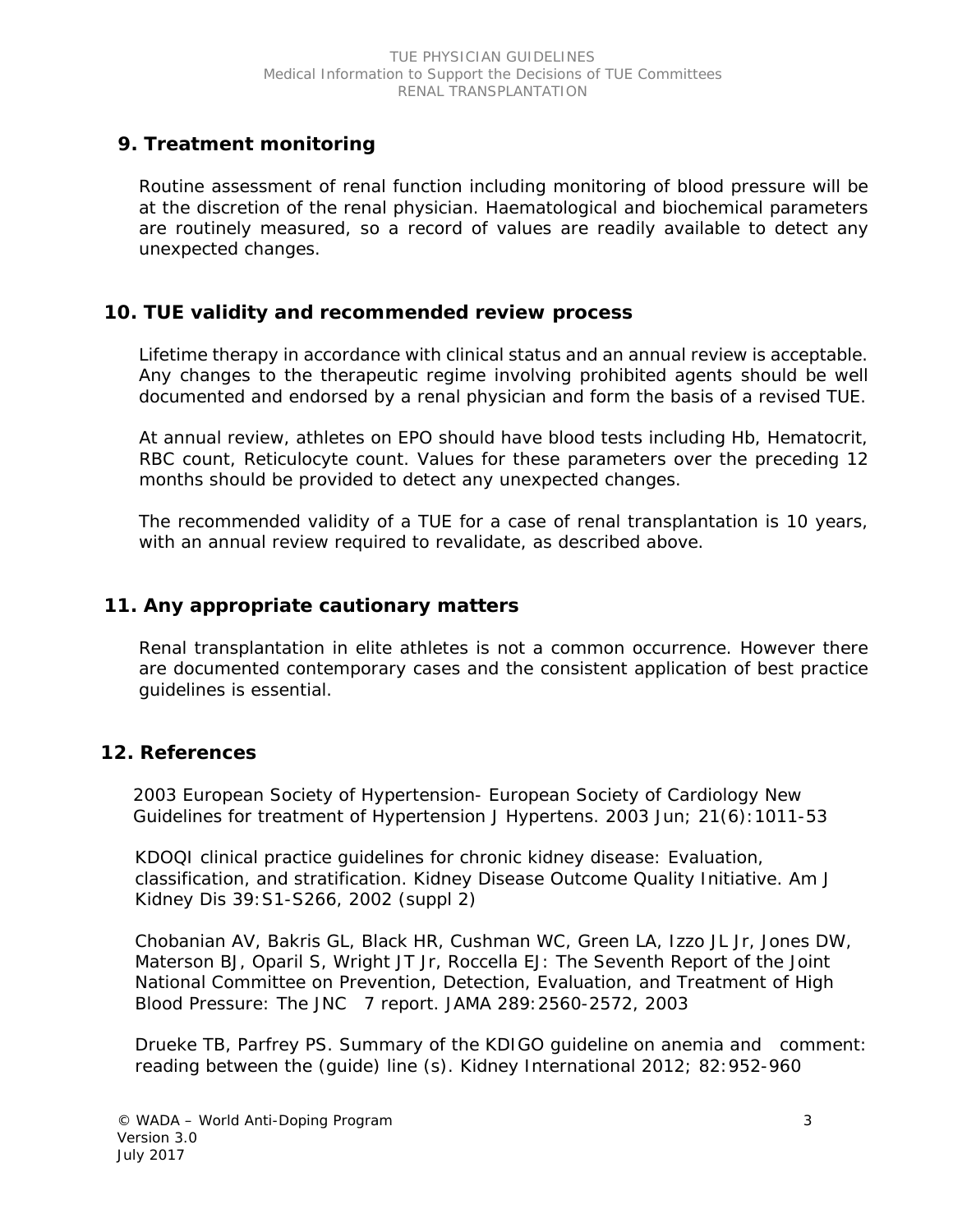### **9. Treatment monitoring**

 Routine assessment of renal function including monitoring of blood pressure will be at the discretion of the renal physician. Haematological and biochemical parameters are routinely measured, so a record of values are readily available to detect any unexpected changes.

#### **10. TUE validity and recommended review process**

 Lifetime therapy in accordance with clinical status and an annual review is acceptable. Any changes to the therapeutic regime involving prohibited agents should be well documented and endorsed by a renal physician and form the basis of a revised TUE.

 At annual review, athletes on EPO should have blood tests including Hb, Hematocrit, RBC count, Reticulocyte count. Values for these parameters over the preceding 12 months should be provided to detect any unexpected changes.

 The recommended validity of a TUE for a case of renal transplantation is 10 years, with an annual review required to revalidate, as described above.

#### **11. Any appropriate cautionary matters**

 Renal transplantation in elite athletes is not a common occurrence. However there are documented contemporary cases and the consistent application of best practice guidelines is essential.

### **12. References**

2003 European Society of Hypertension- European Society of Cardiology New Guidelines for treatment of Hypertension J Hypertens. 2003 Jun; 21(6):1011-53

 KDOQI clinical practice guidelines for chronic kidney disease: Evaluation, classification, and stratification. Kidney Disease Outcome Quality Initiative. Am J Kidney Dis 39:S1-S266, 2002 (suppl 2)

 Chobanian AV, Bakris GL, Black HR, Cushman WC, Green LA, Izzo JL Jr, Jones DW, Materson BJ, Oparil S, Wright JT Jr, Roccella EJ: The Seventh Report of the Joint National Committee on Prevention, Detection, Evaluation, and Treatment of High Blood Pressure: The JNC 7 report. JAMA 289:2560-2572, 2003

 Drueke TB, Parfrey PS. Summary of the KDIGO guideline on anemia and comment: reading between the (guide) line (s). Kidney International 2012; 82:952-960